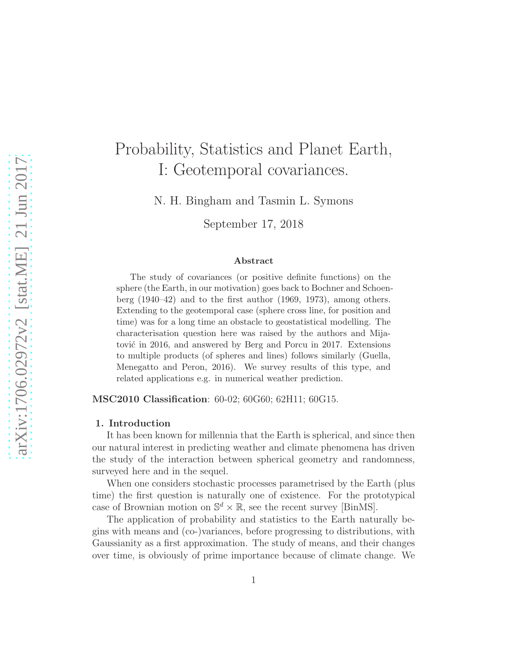# Probability, Statistics and Planet Earth, I: Geotemporal covariances.

N. H. Bingham and Tasmin L. Symons

September 17, 2018

#### Abstract

The study of covariances (or positive definite functions) on the sphere (the Earth, in our motivation) goes back to Bochner and Schoenberg (1940–42) and to the first author (1969, 1973), among others. Extending to the geotemporal case (sphere cross line, for position and time) was for a long time an obstacle to geostatistical modelling. The characterisation question here was raised by the authors and Mijatović in 2016, and answered by Berg and Porcu in 2017. Extensions to multiple products (of spheres and lines) follows similarly (Guella, Menegatto and Peron, 2016). We survey results of this type, and related applications e.g. in numerical weather prediction.

MSC2010 Classification: 60-02; 60G60; 62H11; 60G15.

#### 1. Introduction

It has been known for millennia that the Earth is spherical, and since then our natural interest in predicting weather and climate phenomena has driven the study of the interaction between spherical geometry and randomness, surveyed here and in the sequel.

When one considers stochastic processes parametrised by the Earth (plus time) the first question is naturally one of existence. For the prototypical case of Brownian motion on  $\mathbb{S}^d \times \mathbb{R}$ , see the recent survey [BinMS].

The application of probability and statistics to the Earth naturally begins with means and (co-)variances, before progressing to distributions, with Gaussianity as a first approximation. The study of means, and their changes over time, is obviously of prime importance because of climate change. We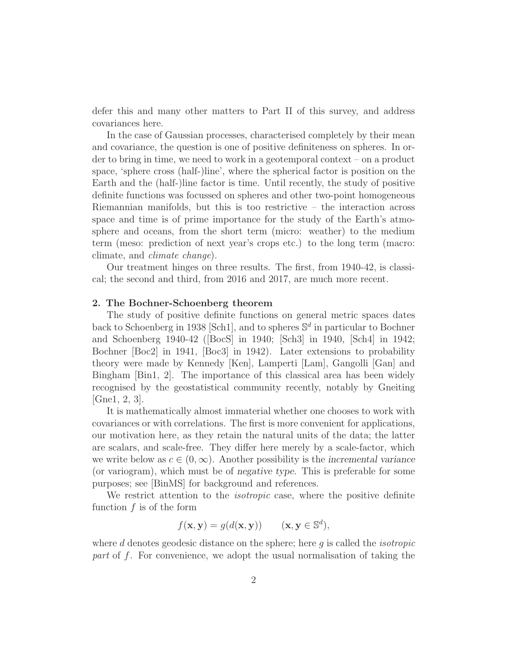defer this and many other matters to Part II of this survey, and address covariances here.

In the case of Gaussian processes, characterised completely by their mean and covariance, the question is one of positive definiteness on spheres. In order to bring in time, we need to work in a geotemporal context – on a product space, 'sphere cross (half-)line', where the spherical factor is position on the Earth and the (half-)line factor is time. Until recently, the study of positive definite functions was focussed on spheres and other two-point homogeneous Riemannian manifolds, but this is too restrictive – the interaction across space and time is of prime importance for the study of the Earth's atmosphere and oceans, from the short term (micro: weather) to the medium term (meso: prediction of next year's crops etc.) to the long term (macro: climate, and climate change).

Our treatment hinges on three results. The first, from 1940-42, is classical; the second and third, from 2016 and 2017, are much more recent.

### 2. The Bochner-Schoenberg theorem

The study of positive definite functions on general metric spaces dates back to Schoenberg in 1938 [Sch1], and to spheres  $\mathbb{S}^d$  in particular to Bochner and Schoenberg 1940-42 ([BocS] in 1940; [Sch3] in 1940, [Sch4] in 1942; Bochner [Boc2] in 1941, [Boc3] in 1942). Later extensions to probability theory were made by Kennedy [Ken], Lamperti [Lam], Gangolli [Gan] and Bingham [Bin1, 2]. The importance of this classical area has been widely recognised by the geostatistical community recently, notably by Gneiting [Gne1, 2, 3].

It is mathematically almost immaterial whether one chooses to work with covariances or with correlations. The first is more convenient for applications, our motivation here, as they retain the natural units of the data; the latter are scalars, and scale-free. They differ here merely by a scale-factor, which we write below as  $c \in (0,\infty)$ . Another possibility is the incremental variance (or variogram), which must be of negative type. This is preferable for some purposes; see [BinMS] for background and references.

We restrict attention to the *isotropic* case, where the positive definite function  $f$  is of the form

$$
f(\mathbf{x}, \mathbf{y}) = g(d(\mathbf{x}, \mathbf{y})) \qquad (\mathbf{x}, \mathbf{y} \in \mathbb{S}^d),
$$

where  $d$  denotes geodesic distance on the sphere; here  $g$  is called the *isotropic* part of f. For convenience, we adopt the usual normalisation of taking the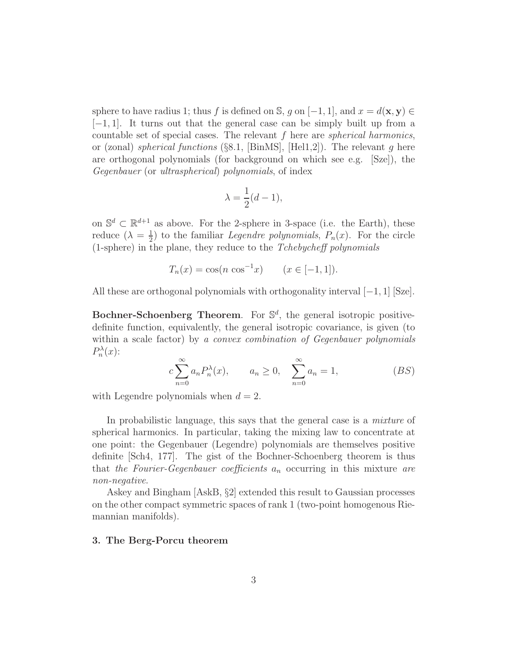sphere to have radius 1; thus f is defined on S, q on  $[-1, 1]$ , and  $x = d(\mathbf{x}, \mathbf{y}) \in$ [−1, 1]. It turns out that the general case can be simply built up from a countable set of special cases. The relevant  $f$  here are *spherical harmonics*, or (zonal) *spherical functions* (§8.1, [BinMS], [Hel1,2]). The relevant q here are orthogonal polynomials (for background on which see e.g. [Sze]), the Gegenbauer (or ultraspherical) polynomials, of index

$$
\lambda = \frac{1}{2}(d-1),
$$

on  $\mathbb{S}^d \subset \mathbb{R}^{d+1}$  as above. For the 2-sphere in 3-space (i.e. the Earth), these reduce  $(\lambda = \frac{1}{2})$  $\frac{1}{2}$  to the familiar *Legendre polynomials*,  $P_n(x)$ . For the circle (1-sphere) in the plane, they reduce to the Tchebycheff polynomials

$$
T_n(x) = \cos(n \cos^{-1} x) \qquad (x \in [-1, 1]).
$$

All these are orthogonal polynomials with orthogonality interval  $[-1, 1]$  [Sze].

Bochner-Schoenberg Theorem. For  $\mathbb{S}^d$ , the general isotropic positivedefinite function, equivalently, the general isotropic covariance, is given (to within a scale factor) by a convex combination of Gegenbauer polynomials  $P_n^{\lambda}(x)$ :

$$
c\sum_{n=0}^{\infty} a_n P_n^{\lambda}(x), \qquad a_n \ge 0, \quad \sum_{n=0}^{\infty} a_n = 1,
$$
 (BS)

with Legendre polynomials when  $d = 2$ .

In probabilistic language, this says that the general case is a *mixture* of spherical harmonics. In particular, taking the mixing law to concentrate at one point: the Gegenbauer (Legendre) polynomials are themselves positive definite [Sch4, 177]. The gist of the Bochner-Schoenberg theorem is thus that the Fourier-Gegenbauer coefficients  $a_n$  occurring in this mixture are non-negative.

Askey and Bingham [AskB, §2] extended this result to Gaussian processes on the other compact symmetric spaces of rank 1 (two-point homogenous Riemannian manifolds).

#### 3. The Berg-Porcu theorem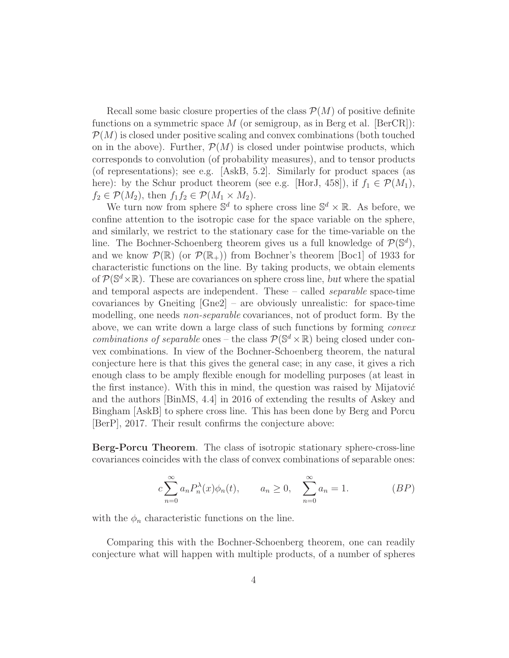Recall some basic closure properties of the class  $\mathcal{P}(M)$  of positive definite functions on a symmetric space M (or semigroup, as in Berg et al.  $[BerCR]$ ):  $\mathcal{P}(M)$  is closed under positive scaling and convex combinations (both touched on in the above). Further,  $\mathcal{P}(M)$  is closed under pointwise products, which corresponds to convolution (of probability measures), and to tensor products (of representations); see e.g.  $[AskB, 5.2]$ . Similarly for product spaces (as here): by the Schur product theorem (see e.g. [HorJ, 458]), if  $f_1 \in \mathcal{P}(M_1)$ ,  $f_2 \in \mathcal{P}(M_2)$ , then  $f_1 f_2 \in \mathcal{P}(M_1 \times M_2)$ .

We turn now from sphere  $\mathbb{S}^d$  to sphere cross line  $\mathbb{S}^d \times \mathbb{R}$ . As before, we confine attention to the isotropic case for the space variable on the sphere, and similarly, we restrict to the stationary case for the time-variable on the line. The Bochner-Schoenberg theorem gives us a full knowledge of  $\mathcal{P}(\mathbb{S}^d)$ , and we know  $\mathcal{P}(\mathbb{R})$  (or  $\mathcal{P}(\mathbb{R}_+)$ ) from Bochner's theorem [Boc1] of 1933 for characteristic functions on the line. By taking products, we obtain elements of  $\mathcal{P}(\mathbb{S}^d\times\mathbb{R})$ . These are covariances on sphere cross line, but where the spatial and temporal aspects are independent. These – called separable space-time covariances by Gneiting  $\lceil \text{Gne2} \rceil$  – are obviously unrealistic: for space-time modelling, one needs *non-separable* covariances, not of product form. By the above, we can write down a large class of such functions by forming convex combinations of separable ones – the class  $\mathcal{P}(\mathbb{S}^d \times \mathbb{R})$  being closed under convex combinations. In view of the Bochner-Schoenberg theorem, the natural conjecture here is that this gives the general case; in any case, it gives a rich enough class to be amply flexible enough for modelling purposes (at least in the first instance). With this in mind, the question was raised by Mijatović and the authors [BinMS, 4.4] in 2016 of extending the results of Askey and Bingham [AskB] to sphere cross line. This has been done by Berg and Porcu [BerP], 2017. Their result confirms the conjecture above:

Berg-Porcu Theorem. The class of isotropic stationary sphere-cross-line covariances coincides with the class of convex combinations of separable ones:

$$
c\sum_{n=0}^{\infty} a_n P_n^{\lambda}(x)\phi_n(t), \qquad a_n \ge 0, \quad \sum_{n=0}^{\infty} a_n = 1.
$$
 (BP)

with the  $\phi_n$  characteristic functions on the line.

Comparing this with the Bochner-Schoenberg theorem, one can readily conjecture what will happen with multiple products, of a number of spheres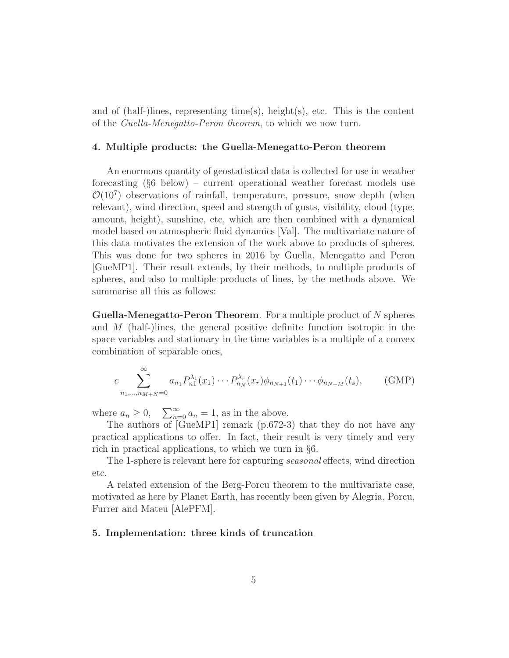and of (half-)lines, representing time(s), height(s), etc. This is the content of the Guella-Menegatto-Peron theorem, to which we now turn.

#### 4. Multiple products: the Guella-Menegatto-Peron theorem

An enormous quantity of geostatistical data is collected for use in weather forecasting (§6 below) – current operational weather forecast models use  $\mathcal{O}(10^7)$  observations of rainfall, temperature, pressure, snow depth (when relevant), wind direction, speed and strength of gusts, visibility, cloud (type, amount, height), sunshine, etc, which are then combined with a dynamical model based on atmospheric fluid dynamics [Val]. The multivariate nature of this data motivates the extension of the work above to products of spheres. This was done for two spheres in 2016 by Guella, Menegatto and Peron [GueMP1]. Their result extends, by their methods, to multiple products of spheres, and also to multiple products of lines, by the methods above. We summarise all this as follows:

Guella-Menegatto-Peron Theorem. For a multiple product of N spheres and M (half-)lines, the general positive definite function isotropic in the space variables and stationary in the time variables is a multiple of a convex combination of separable ones,

$$
c \sum_{n_1, \dots, n_{M+N}=0}^{\infty} a_{n_1} P_{n_1}^{\lambda_1}(x_1) \cdots P_{n_N}^{\lambda_r}(x_r) \phi_{n_{N+1}}(t_1) \cdots \phi_{n_{N+M}}(t_s), \qquad \text{(GMP)}
$$

where  $a_n \geq 0$ ,  $\sum_{n=0}^{\infty} a_n = 1$ , as in the above.

The authors of [GueMP1] remark (p.672-3) that they do not have any practical applications to offer. In fact, their result is very timely and very rich in practical applications, to which we turn in §6.

The 1-sphere is relevant here for capturing seasonal effects, wind direction etc.

A related extension of the Berg-Porcu theorem to the multivariate case, motivated as here by Planet Earth, has recently been given by Alegria, Porcu, Furrer and Mateu [AlePFM].

# 5. Implementation: three kinds of truncation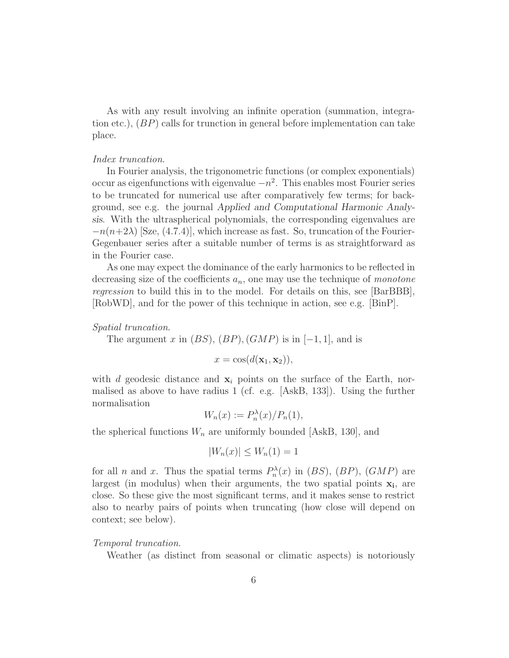As with any result involving an infinite operation (summation, integration etc.), (BP) calls for trunction in general before implementation can take place.

# Index truncation.

In Fourier analysis, the trigonometric functions (or complex exponentials) occur as eigenfunctions with eigenvalue  $-n^2$ . This enables most Fourier series to be truncated for numerical use after comparatively few terms; for background, see e.g. the journal Applied and Computational Harmonic Analysis. With the ultraspherical polynomials, the corresponding eigenvalues are  $-n(n+2\lambda)$  [Sze, (4.7.4)], which increase as fast. So, truncation of the Fourier-Gegenbauer series after a suitable number of terms is as straightforward as in the Fourier case.

As one may expect the dominance of the early harmonics to be reflected in decreasing size of the coefficients  $a_n$ , one may use the technique of *monotone* regression to build this in to the model. For details on this, see [BarBBB], [RobWD], and for the power of this technique in action, see e.g. [BinP].

#### Spatial truncation.

The argument x in  $(BS)$ ,  $(BP)$ ,  $(GMP)$  is in  $[-1, 1]$ , and is

 $x = \cos(d(\mathbf{x}_1, \mathbf{x}_2)),$ 

with d geodesic distance and  $x_i$  points on the surface of the Earth, normalised as above to have radius 1 (cf. e.g. [AskB, 133]). Using the further normalisation

$$
W_n(x) := P_n^{\lambda}(x) / P_n(1),
$$

the spherical functions  $W_n$  are uniformly bounded [AskB, 130], and

$$
|W_n(x)| \le W_n(1) = 1
$$

for all *n* and *x*. Thus the spatial terms  $P_n^{\lambda}(x)$  in  $(BS)$ ,  $(BP)$ ,  $(GMP)$  are largest (in modulus) when their arguments, the two spatial points  $x_i$ , are close. So these give the most significant terms, and it makes sense to restrict also to nearby pairs of points when truncating (how close will depend on context; see below).

# Temporal truncation.

Weather (as distinct from seasonal or climatic aspects) is notoriously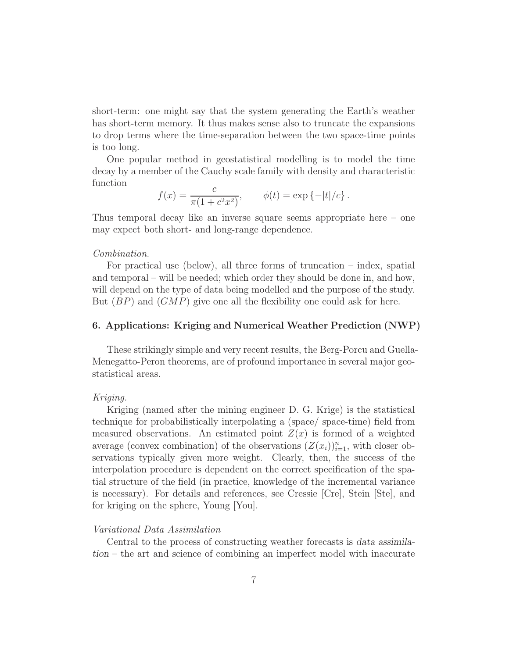short-term: one might say that the system generating the Earth's weather has short-term memory. It thus makes sense also to truncate the expansions to drop terms where the time-separation between the two space-time points is too long.

One popular method in geostatistical modelling is to model the time decay by a member of the Cauchy scale family with density and characteristic function

$$
f(x) = \frac{c}{\pi (1 + c^2 x^2)}, \qquad \phi(t) = \exp \{-|t|/c\}.
$$

Thus temporal decay like an inverse square seems appropriate here – one may expect both short- and long-range dependence.

#### Combination.

For practical use (below), all three forms of truncation – index, spatial and temporal – will be needed; which order they should be done in, and how, will depend on the type of data being modelled and the purpose of the study. But  $(BP)$  and  $(GMP)$  give one all the flexibility one could ask for here.

# 6. Applications: Kriging and Numerical Weather Prediction (NWP)

These strikingly simple and very recent results, the Berg-Porcu and Guella-Menegatto-Peron theorems, are of profound importance in several major geostatistical areas.

# Kriging.

Kriging (named after the mining engineer D. G. Krige) is the statistical technique for probabilistically interpolating a (space/ space-time) field from measured observations. An estimated point  $Z(x)$  is formed of a weighted average (convex combination) of the observations  $(Z(x_i))_{i=1}^n$ , with closer observations typically given more weight. Clearly, then, the success of the interpolation procedure is dependent on the correct specification of the spatial structure of the field (in practice, knowledge of the incremental variance is necessary). For details and references, see Cressie [Cre], Stein [Ste], and for kriging on the sphere, Young [You].

# Variational Data Assimilation

Central to the process of constructing weather forecasts is data assimilation – the art and science of combining an imperfect model with inaccurate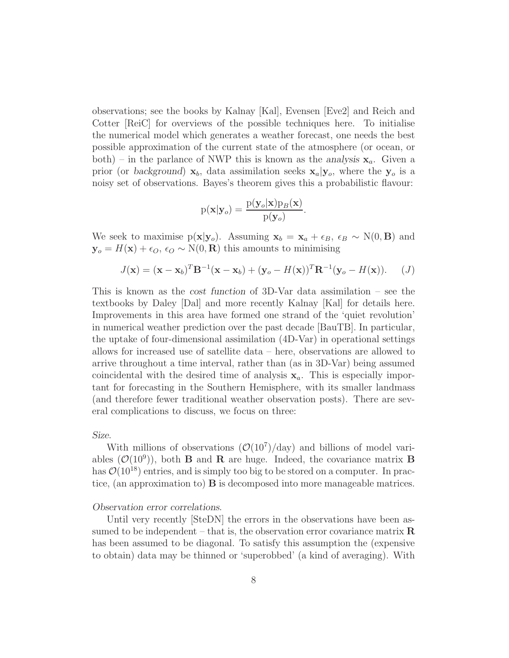observations; see the books by Kalnay [Kal], Evensen [Eve2] and Reich and Cotter [ReiC] for overviews of the possible techniques here. To initialise the numerical model which generates a weather forecast, one needs the best possible approximation of the current state of the atmosphere (or ocean, or both) – in the parlance of NWP this is known as the analysis  $x_a$ . Given a prior (or background)  $x_b$ , data assimilation seeks  $x_a|y_o$ , where the  $y_o$  is a noisy set of observations. Bayes's theorem gives this a probabilistic flavour:

$$
\mathrm{p}(\mathbf{x}|\mathbf{y}_o) = \frac{\mathrm{p}(\mathbf{y}_o|\mathbf{x})\mathrm{p}_B(\mathbf{x})}{\mathrm{p}(\mathbf{y}_o)}.
$$

We seek to maximise p( $\mathbf{x}|\mathbf{y}_o$ ). Assuming  $\mathbf{x}_b = \mathbf{x}_a + \epsilon_B$ ,  $\epsilon_B \sim N(0, \mathbf{B})$  and  $y_o = H(x) + \epsilon_O$ ,  $\epsilon_O \sim N(0, R)$  this amounts to minimising

$$
J(\mathbf{x}) = (\mathbf{x} - \mathbf{x}_b)^T \mathbf{B}^{-1} (\mathbf{x} - \mathbf{x}_b) + (\mathbf{y}_o - H(\mathbf{x}))^T \mathbf{R}^{-1} (\mathbf{y}_o - H(\mathbf{x})).
$$
 (J)

This is known as the cost function of 3D-Var data assimilation – see the textbooks by Daley [Dal] and more recently Kalnay [Kal] for details here. Improvements in this area have formed one strand of the 'quiet revolution' in numerical weather prediction over the past decade [BauTB]. In particular, the uptake of four-dimensional assimilation (4D-Var) in operational settings allows for increased use of satellite data – here, observations are allowed to arrive throughout a time interval, rather than (as in 3D-Var) being assumed coincidental with the desired time of analysis  $x_a$ . This is especially important for forecasting in the Southern Hemisphere, with its smaller landmass (and therefore fewer traditional weather observation posts). There are several complications to discuss, we focus on three:

#### Size.

With millions of observations  $(\mathcal{O}(10^7)/\text{day})$  and billions of model variables  $(\mathcal{O}(10^9))$ , both **B** and **R** are huge. Indeed, the covariance matrix **B** has  $\mathcal{O}(10^{18})$  entries, and is simply too big to be stored on a computer. In practice, (an approximation to)  $\bf{B}$  is decomposed into more manageable matrices.

#### Observation error correlations.

Until very recently SteDN the errors in the observations have been assumed to be independent – that is, the observation error covariance matrix  $\bf{R}$ has been assumed to be diagonal. To satisfy this assumption the (expensive to obtain) data may be thinned or 'superobbed' (a kind of averaging). With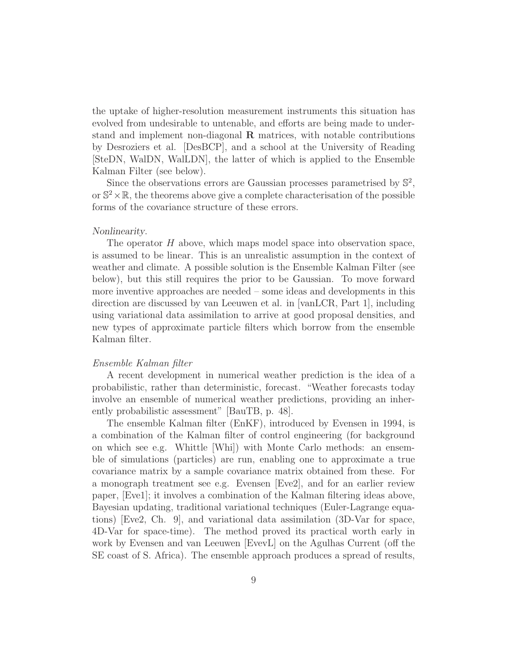the uptake of higher-resolution measurement instruments this situation has evolved from undesirable to untenable, and efforts are being made to understand and implement non-diagonal  $\bf{R}$  matrices, with notable contributions by Desroziers et al. [DesBCP], and a school at the University of Reading [SteDN, WalDN, WalLDN], the latter of which is applied to the Ensemble Kalman Filter (see below).

Since the observations errors are Gaussian processes parametrised by  $\mathbb{S}^2$ , or  $\mathbb{S}^2 \times \mathbb{R}$ , the theorems above give a complete characterisation of the possible forms of the covariance structure of these errors.

#### Nonlinearity.

The operator H above, which maps model space into observation space, is assumed to be linear. This is an unrealistic assumption in the context of weather and climate. A possible solution is the Ensemble Kalman Filter (see below), but this still requires the prior to be Gaussian. To move forward more inventive approaches are needed – some ideas and developments in this direction are discussed by van Leeuwen et al. in [vanLCR, Part 1], including using variational data assimilation to arrive at good proposal densities, and new types of approximate particle filters which borrow from the ensemble Kalman filter.

#### Ensemble Kalman filter

A recent development in numerical weather prediction is the idea of a probabilistic, rather than deterministic, forecast. "Weather forecasts today involve an ensemble of numerical weather predictions, providing an inherently probabilistic assessment" [BauTB, p. 48].

The ensemble Kalman filter (EnKF), introduced by Evensen in 1994, is a combination of the Kalman filter of control engineering (for background on which see e.g. Whittle [Whi]) with Monte Carlo methods: an ensemble of simulations (particles) are run, enabling one to approximate a true covariance matrix by a sample covariance matrix obtained from these. For a monograph treatment see e.g. Evensen [Eve2], and for an earlier review paper, [Eve1]; it involves a combination of the Kalman filtering ideas above, Bayesian updating, traditional variational techniques (Euler-Lagrange equations) [Eve2, Ch. 9], and variational data assimilation (3D-Var for space, 4D-Var for space-time). The method proved its practical worth early in work by Evensen and van Leeuwen [EvevL] on the Agulhas Current (off the SE coast of S. Africa). The ensemble approach produces a spread of results,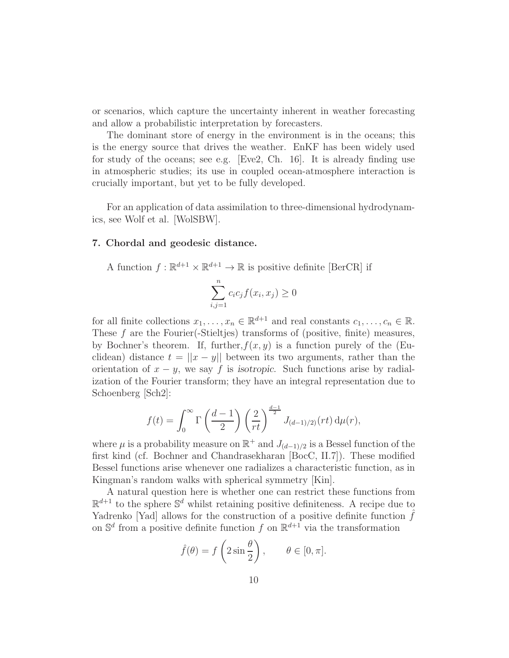or scenarios, which capture the uncertainty inherent in weather forecasting and allow a probabilistic interpretation by forecasters.

The dominant store of energy in the environment is in the oceans; this is the energy source that drives the weather. EnKF has been widely used for study of the oceans; see e.g. [Eve2, Ch. 16]. It is already finding use in atmospheric studies; its use in coupled ocean-atmosphere interaction is crucially important, but yet to be fully developed.

For an application of data assimilation to three-dimensional hydrodynamics, see Wolf et al. [WolSBW].

## 7. Chordal and geodesic distance.

A function 
$$
f : \mathbb{R}^{d+1} \times \mathbb{R}^{d+1} \to \mathbb{R}
$$
 is positive definite [BerCR] if  

$$
\sum_{i,j=1}^{n} c_i c_j f(x_i, x_j) \ge 0
$$

for all finite collections  $x_1, \ldots, x_n \in \mathbb{R}^{d+1}$  and real constants  $c_1, \ldots, c_n \in \mathbb{R}$ . These  $f$  are the Fourier(-Stieltjes) transforms of (positive, finite) measures, by Bochner's theorem. If, further,  $f(x, y)$  is a function purely of the (Euclidean) distance  $t = ||x - y||$  between its two arguments, rather than the orientation of  $x - y$ , we say f is isotropic. Such functions arise by radialization of the Fourier transform; they have an integral representation due to Schoenberg [Sch2]:

$$
f(t) = \int_0^\infty \Gamma\left(\frac{d-1}{2}\right) \left(\frac{2}{rt}\right)^{\frac{d-1}{2}} J_{(d-1)/2)}(rt) d\mu(r),
$$

where  $\mu$  is a probability measure on  $\mathbb{R}^+$  and  $J_{(d-1)/2}$  is a Bessel function of the first kind (cf. Bochner and Chandrasekharan [BocC, II.7]). These modified Bessel functions arise whenever one radializes a characteristic function, as in Kingman's random walks with spherical symmetry [Kin].

A natural question here is whether one can restrict these functions from  $\mathbb{R}^{d+1}$  to the sphere  $\mathbb{S}^d$  whilst retaining positive definiteness. A recipe due to Yadrenko [Yad] allows for the construction of a positive definite function  $\hat{f}$ on  $\mathbb{S}^d$  from a positive definite function f on  $\mathbb{R}^{d+1}$  via the transformation

$$
\hat{f}(\theta) = f\left(2\sin\frac{\theta}{2}\right), \qquad \theta \in [0, \pi].
$$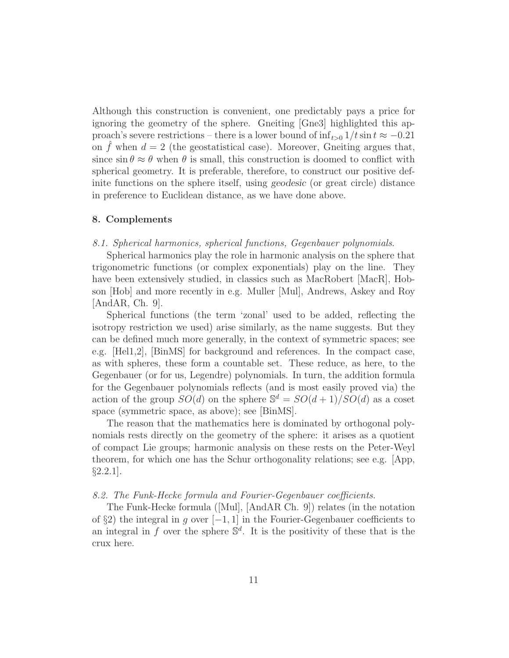Although this construction is convenient, one predictably pays a price for ignoring the geometry of the sphere. Gneiting [Gne3] highlighted this approach's severe restrictions – there is a lower bound of  $\inf_{t>0} 1/t \sin t \approx -0.21$ on  $\hat{f}$  when  $d = 2$  (the geostatistical case). Moreover, Gneiting argues that, since  $\sin \theta \approx \theta$  when  $\theta$  is small, this construction is doomed to conflict with spherical geometry. It is preferable, therefore, to construct our positive definite functions on the sphere itself, using geodesic (or great circle) distance in preference to Euclidean distance, as we have done above.

#### 8. Complements

#### 8.1. Spherical harmonics, spherical functions, Gegenbauer polynomials.

Spherical harmonics play the role in harmonic analysis on the sphere that trigonometric functions (or complex exponentials) play on the line. They have been extensively studied, in classics such as MacRobert [MacR], Hobson [Hob] and more recently in e.g. Muller [Mul], Andrews, Askey and Roy [AndAR, Ch. 9].

Spherical functions (the term 'zonal' used to be added, reflecting the isotropy restriction we used) arise similarly, as the name suggests. But they can be defined much more generally, in the context of symmetric spaces; see e.g. [Hel1,2], [BinMS] for background and references. In the compact case, as with spheres, these form a countable set. These reduce, as here, to the Gegenbauer (or for us, Legendre) polynomials. In turn, the addition formula for the Gegenbauer polynomials reflects (and is most easily proved via) the action of the group  $SO(d)$  on the sphere  $\mathbb{S}^d = SO(d+1)/SO(d)$  as a coset space (symmetric space, as above); see [BinMS].

The reason that the mathematics here is dominated by orthogonal polynomials rests directly on the geometry of the sphere: it arises as a quotient of compact Lie groups; harmonic analysis on these rests on the Peter-Weyl theorem, for which one has the Schur orthogonality relations; see e.g. [App,  $\S 2.2.1$ .

#### 8.2. The Funk-Hecke formula and Fourier-Gegenbauer coefficients.

The Funk-Hecke formula ([Mul], [AndAR Ch. 9]) relates (in the notation of §2) the integral in q over  $[-1, 1]$  in the Fourier-Gegenbauer coefficients to an integral in f over the sphere  $\mathbb{S}^d$ . It is the positivity of these that is the crux here.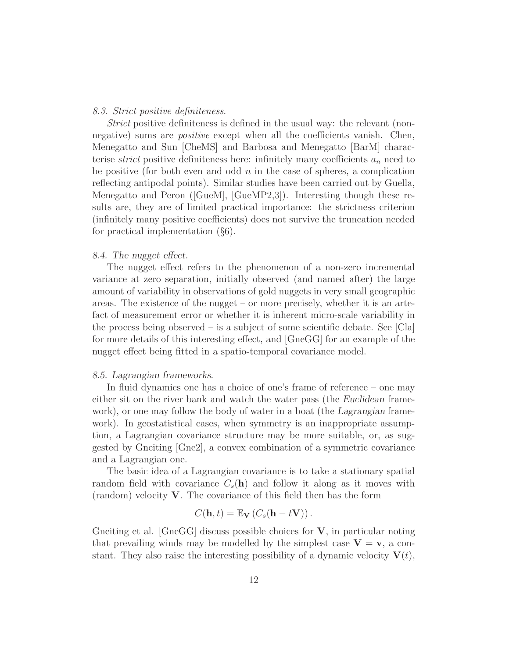#### 8.3. Strict positive definiteness.

Strict positive definiteness is defined in the usual way: the relevant (nonnegative) sums are *positive* except when all the coefficients vanish. Chen, Menegatto and Sun [CheMS] and Barbosa and Menegatto [BarM] characterise *strict* positive definiteness here: infinitely many coefficients  $a_n$  need to be positive (for both even and odd  $n$  in the case of spheres, a complication reflecting antipodal points). Similar studies have been carried out by Guella, Menegatto and Peron ([GueM], [GueMP2,3]). Interesting though these results are, they are of limited practical importance: the strictness criterion (infinitely many positive coefficients) does not survive the truncation needed for practical implementation (§6).

#### 8.4. The nugget effect.

The nugget effect refers to the phenomenon of a non-zero incremental variance at zero separation, initially observed (and named after) the large amount of variability in observations of gold nuggets in very small geographic areas. The existence of the nugget – or more precisely, whether it is an artefact of measurement error or whether it is inherent micro-scale variability in the process being observed – is a subject of some scientific debate. See  $\text{[Cla]}$ for more details of this interesting effect, and [GneGG] for an example of the nugget effect being fitted in a spatio-temporal covariance model.

#### 8.5. Lagrangian frameworks.

In fluid dynamics one has a choice of one's frame of reference – one may either sit on the river bank and watch the water pass (the *Euclidean* framework), or one may follow the body of water in a boat (the Lagrangian framework). In geostatistical cases, when symmetry is an inappropriate assumption, a Lagrangian covariance structure may be more suitable, or, as suggested by Gneiting [Gne2], a convex combination of a symmetric covariance and a Lagrangian one.

The basic idea of a Lagrangian covariance is to take a stationary spatial random field with covariance  $C_s(\mathbf{h})$  and follow it along as it moves with (random) velocity V. The covariance of this field then has the form

$$
C(\mathbf{h},t) = \mathbb{E}_{\mathbf{V}}\left(C_s(\mathbf{h}-t\mathbf{V})\right).
$$

Gneiting et al. [GneGG] discuss possible choices for  $V$ , in particular noting that prevailing winds may be modelled by the simplest case  $V = v$ , a constant. They also raise the interesting possibility of a dynamic velocity  $V(t)$ ,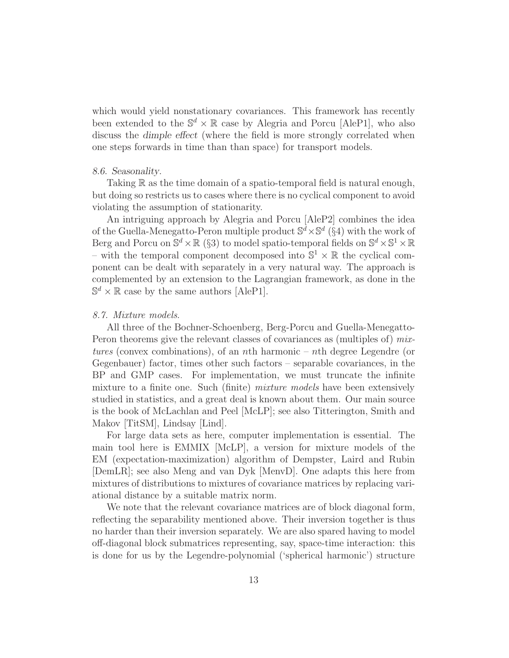which would yield nonstationary covariances. This framework has recently been extended to the  $\mathbb{S}^d \times \mathbb{R}$  case by Alegria and Porcu [AleP1], who also discuss the dimple effect (where the field is more strongly correlated when one steps forwards in time than than space) for transport models.

#### 8.6. Seasonality.

Taking  $\mathbb R$  as the time domain of a spatio-temporal field is natural enough, but doing so restricts us to cases where there is no cyclical component to avoid violating the assumption of stationarity.

An intriguing approach by Alegria and Porcu [AleP2] combines the idea of the Guella-Menegatto-Peron multiple product  $\mathbb{S}^d \times \mathbb{S}^d$  (§4) with the work of Berg and Porcu on  $\mathbb{S}^d \times \mathbb{R}$  (§3) to model spatio-temporal fields on  $\mathbb{S}^d \times \mathbb{S}^1 \times \mathbb{R}$ – with the temporal component decomposed into  $\mathbb{S}^1 \times \mathbb{R}$  the cyclical component can be dealt with separately in a very natural way. The approach is complemented by an extension to the Lagrangian framework, as done in the  $\mathbb{S}^d \times \mathbb{R}$  case by the same authors [AleP1].

#### 8.7. Mixture models.

All three of the Bochner-Schoenberg, Berg-Porcu and Guella-Menegatto-Peron theorems give the relevant classes of covariances as (multiples of) mixtures (convex combinations), of an nth harmonic – nth degree Legendre (or Gegenbauer) factor, times other such factors – separable covariances, in the BP and GMP cases. For implementation, we must truncate the infinite mixture to a finite one. Such (finite) *mixture models* have been extensively studied in statistics, and a great deal is known about them. Our main source is the book of McLachlan and Peel [McLP]; see also Titterington, Smith and Makov [TitSM], Lindsay [Lind].

For large data sets as here, computer implementation is essential. The main tool here is EMMIX [McLP], a version for mixture models of the EM (expectation-maximization) algorithm of Dempster, Laird and Rubin [DemLR]; see also Meng and van Dyk [MenvD]. One adapts this here from mixtures of distributions to mixtures of covariance matrices by replacing variational distance by a suitable matrix norm.

We note that the relevant covariance matrices are of block diagonal form, reflecting the separability mentioned above. Their inversion together is thus no harder than their inversion separately. We are also spared having to model off-diagonal block submatrices representing, say, space-time interaction: this is done for us by the Legendre-polynomial ('spherical harmonic') structure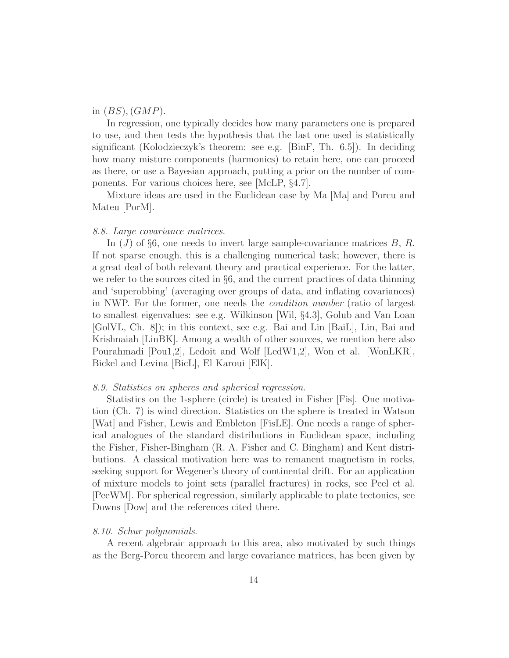# in  $(BS)$ ,  $(GMP)$ .

In regression, one typically decides how many parameters one is prepared to use, and then tests the hypothesis that the last one used is statistically significant (Kolodzieczyk's theorem: see e.g. [BinF, Th.  $6.5$ ]). In deciding how many misture components (harmonics) to retain here, one can proceed as there, or use a Bayesian approach, putting a prior on the number of components. For various choices here, see [McLP, §4.7].

Mixture ideas are used in the Euclidean case by Ma [Ma] and Porcu and Mateu [PorM].

# 8.8. Large covariance matrices.

In  $(J)$  of §6, one needs to invert large sample-covariance matrices  $B, R$ . If not sparse enough, this is a challenging numerical task; however, there is a great deal of both relevant theory and practical experience. For the latter, we refer to the sources cited in §6, and the current practices of data thinning and 'superobbing' (averaging over groups of data, and inflating covariances) in NWP. For the former, one needs the condition number (ratio of largest to smallest eigenvalues: see e.g. Wilkinson [Wil, §4.3], Golub and Van Loan [GolVL, Ch. 8]); in this context, see e.g. Bai and Lin [BaiL], Lin, Bai and Krishnaiah [LinBK]. Among a wealth of other sources, we mention here also Pourahmadi [Pou1,2], Ledoit and Wolf [LedW1,2], Won et al. [WonLKR], Bickel and Levina [BicL], El Karoui [ElK].

# 8.9. Statistics on spheres and spherical regression.

Statistics on the 1-sphere (circle) is treated in Fisher [Fis]. One motivation (Ch. 7) is wind direction. Statistics on the sphere is treated in Watson [Wat] and Fisher, Lewis and Embleton [FisLE]. One needs a range of spherical analogues of the standard distributions in Euclidean space, including the Fisher, Fisher-Bingham (R. A. Fisher and C. Bingham) and Kent distributions. A classical motivation here was to remanent magnetism in rocks, seeking support for Wegener's theory of continental drift. For an application of mixture models to joint sets (parallel fractures) in rocks, see Peel et al. [PeeWM]. For spherical regression, similarly applicable to plate tectonics, see Downs [Dow] and the references cited there.

# 8.10. Schur polynomials.

A recent algebraic approach to this area, also motivated by such things as the Berg-Porcu theorem and large covariance matrices, has been given by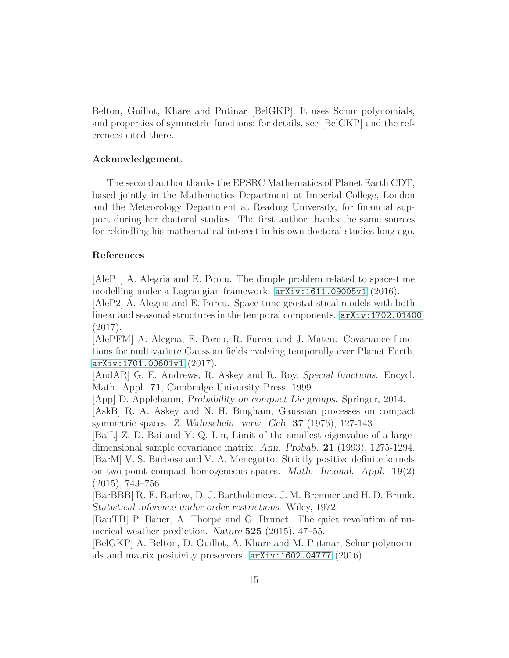Belton, Guillot, Khare and Putinar [BelGKP]. It uses Schur polynomials, and properties of symmetric functions; for details, see [BelGKP] and the references cited there.

# Acknowledgement.

The second author thanks the EPSRC Mathematics of Planet Earth CDT, based jointly in the Mathematics Department at Imperial College, London and the Meteorology Department at Reading University, for financial support during her doctoral studies. The first author thanks the same sources for rekindling his mathematical interest in his own doctoral studies long ago.

# References

[AleP1] A. Alegria and E. Porcu. The dimple problem related to space-time modelling under a Lagrangian framework. [arXiv:1611.09005v1](arXiv: 1611.09005v1) (2016).

[AleP2] A. Alegria and E. Porcu. Space-time geostatistical models with both linear and seasonal structures in the temporal components. [arXiv:1702.01400](arXiv: 1702.01400) (2017).

[AlePFM] A. Alegria, E. Porcu, R. Furrer and J. Mateu. Covariance functions for multivariate Gaussian fields evolving temporally over Planet Earth, <arXiv:1701.00601v1> (2017).

[AndAR] G. E. Andrews, R. Askey and R. Roy, Special functions. Encycl. Math. Appl. 71, Cambridge University Press, 1999.

[App] D. Applebaum, Probability on compact Lie groups. Springer, 2014.

[AskB] R. A. Askey and N. H. Bingham, Gaussian processes on compact symmetric spaces. Z. Wahrschein. verw. Geb. 37 (1976), 127-143.

[BaiL] Z. D. Bai and Y. Q. Lin, Limit of the smallest eigenvalue of a largedimensional sample covariance matrix. Ann. Probab. 21 (1993), 1275-1294. [BarM] V. S. Barbosa and V. A. Menegatto. Strictly positive definite kernels on two-point compact homogeneous spaces. Math. Inequal. Appl. 19(2) (2015), 743–756.

[BarBBB] R. E. Barlow, D. J. Bartholomew, J. M. Bremner and H. D. Brunk, Statistical inference under order restrictions. Wiley, 1972.

[BauTB] P. Bauer, A. Thorpe and G. Brunet. The quiet revolution of numerical weather prediction. Nature 525 (2015), 47–55.

[BelGKP] A. Belton, D. Guillot, A. Khare and M. Putinar, Schur polynomials and matrix positivity preservers. <arXiv:1602.04777> (2016).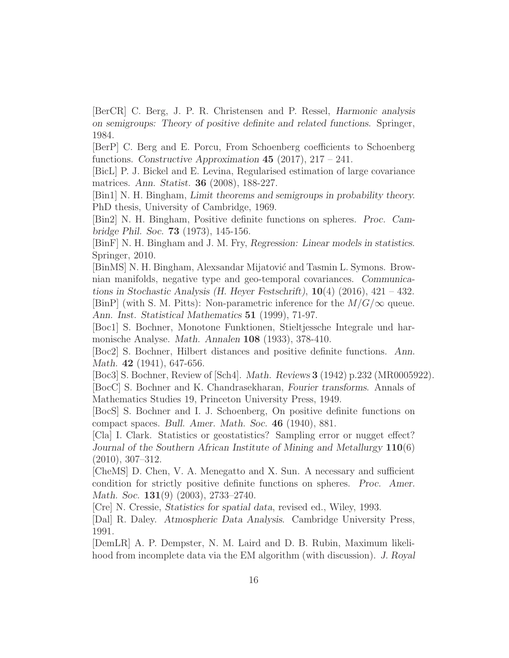[BerCR] C. Berg, J. P. R. Christensen and P. Ressel, Harmonic analysis on semigroups: Theory of positive definite and related functions. Springer, 1984.

[BerP] C. Berg and E. Porcu, From Schoenberg coefficients to Schoenberg functions. Constructive Approximation 45 (2017),  $217 - 241$ .

[BicL] P. J. Bickel and E. Levina, Regularised estimation of large covariance matrices. Ann. Statist. 36 (2008), 188-227.

[Bin1] N. H. Bingham, Limit theorems and semigroups in probability theory. PhD thesis, University of Cambridge, 1969.

[Bin2] N. H. Bingham, Positive definite functions on spheres. Proc. Cambridge Phil. Soc. 73 (1973), 145-156.

[BinF] N. H. Bingham and J. M. Fry, Regression: Linear models in statistics. Springer, 2010.

[BinMS] N. H. Bingham, Alexsandar Mijatović and Tasmin L. Symons. Brownian manifolds, negative type and geo-temporal covariances. Communications in Stochastic Analysis (H. Heyer Festschrift),  $10(4)$  (2016), 421 – 432. [BinP] (with S. M. Pitts): Non-parametric inference for the  $M/G/\infty$  queue. Ann. Inst. Statistical Mathematics 51 (1999), 71-97.

[Boc1] S. Bochner, Monotone Funktionen, Stieltjessche Integrale und harmonische Analyse. Math. Annalen 108 (1933), 378-410.

[Boc2] S. Bochner, Hilbert distances and positive definite functions. Ann. Math. **42** (1941), 647-656.

[Boc3] S. Bochner, Review of [Sch4]. Math. Reviews 3 (1942) p.232 (MR0005922). [BocC] S. Bochner and K. Chandrasekharan, Fourier transforms. Annals of Mathematics Studies 19, Princeton University Press, 1949.

[BocS] S. Bochner and I. J. Schoenberg, On positive definite functions on compact spaces. Bull. Amer. Math. Soc. 46 (1940), 881.

[Cla] I. Clark. Statistics or geostatistics? Sampling error or nugget effect? Journal of the Southern African Institute of Mining and Metallurgy 110(6) (2010), 307–312.

[CheMS] D. Chen, V. A. Menegatto and X. Sun. A necessary and sufficient condition for strictly positive definite functions on spheres. Proc. Amer. Math. Soc. **131**(9) (2003), 2733–2740.

[Cre] N. Cressie, Statistics for spatial data, revised ed., Wiley, 1993.

[Dal] R. Daley. Atmospheric Data Analysis. Cambridge University Press, 1991.

[DemLR] A. P. Dempster, N. M. Laird and D. B. Rubin, Maximum likelihood from incomplete data via the EM algorithm (with discussion). J. Royal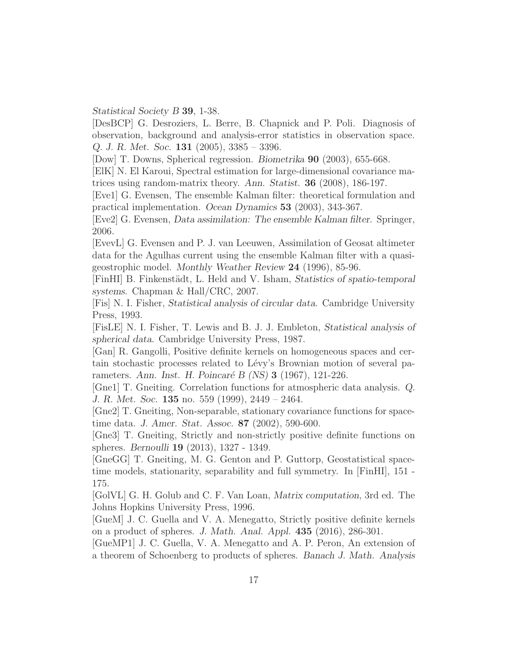Statistical Society B 39, 1-38.

[DesBCP] G. Desroziers, L. Berre, B. Chapnick and P. Poli. Diagnosis of observation, background and analysis-error statistics in observation space. Q. J. R. Met. Soc. 131 (2005), 3385 – 3396.

[Dow] T. Downs, Spherical regression. Biometrika 90 (2003), 655-668.

[ElK] N. El Karoui, Spectral estimation for large-dimensional covariance matrices using random-matrix theory. Ann. Statist. 36 (2008), 186-197.

[Eve1] G. Evensen, The ensemble Kalman filter: theoretical formulation and practical implementation. Ocean Dynamics 53 (2003), 343-367.

[Eve2] G. Evensen, Data assimilation: The ensemble Kalman filter. Springer, 2006.

[EvevL] G. Evensen and P. J. van Leeuwen, Assimilation of Geosat altimeter data for the Agulhas current using the ensemble Kalman filter with a quasigeostrophic model. Monthly Weather Review 24 (1996), 85-96.

[FinHI] B. Finkenstädt, L. Held and V. Isham, *Statistics of spatio-temporal* systems. Chapman & Hall/CRC, 2007.

[Fis] N. I. Fisher, Statistical analysis of circular data. Cambridge University Press, 1993.

[FisLE] N. I. Fisher, T. Lewis and B. J. J. Embleton, Statistical analysis of spherical data. Cambridge University Press, 1987.

[Gan] R. Gangolli, Positive definite kernels on homogeneous spaces and certain stochastic processes related to Lévy's Brownian motion of several parameters. Ann. Inst. H. Poincaré B (NS) 3 (1967), 121-226.

[Gne1] T. Gneiting. Correlation functions for atmospheric data analysis. Q. J. R. Met. Soc. 135 no. 559 (1999), 2449 – 2464.

[Gne2] T. Gneiting, Non-separable, stationary covariance functions for spacetime data. J. Amer. Stat. Assoc. 87 (2002), 590-600.

[Gne3] T. Gneiting, Strictly and non-strictly positive definite functions on spheres. Bernoulli 19 (2013), 1327 - 1349.

[GneGG] T. Gneiting, M. G. Genton and P. Guttorp, Geostatistical spacetime models, stationarity, separability and full symmetry. In [FinHI], 151 - 175.

[GolVL] G. H. Golub and C. F. Van Loan, Matrix computation, 3rd ed. The Johns Hopkins University Press, 1996.

[GueM] J. C. Guella and V. A. Menegatto, Strictly positive definite kernels on a product of spheres. J. Math. Anal. Appl. 435 (2016), 286-301.

[GueMP1] J. C. Guella, V. A. Menegatto and A. P. Peron, An extension of a theorem of Schoenberg to products of spheres. Banach J. Math. Analysis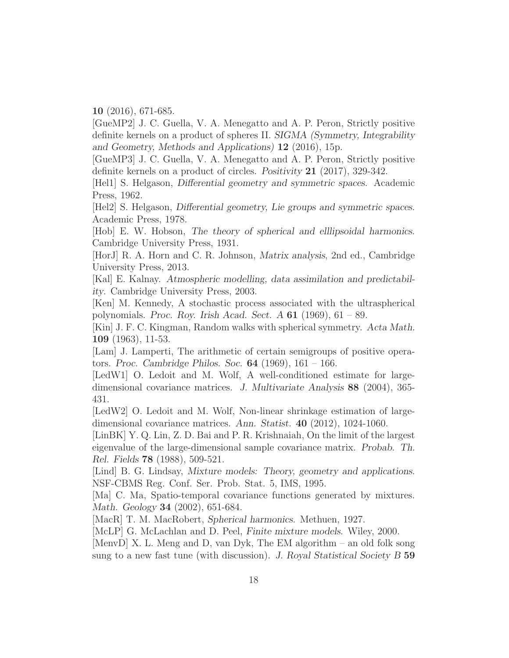10 (2016), 671-685.

[GueMP2] J. C. Guella, V. A. Menegatto and A. P. Peron, Strictly positive definite kernels on a product of spheres II. SIGMA (Symmetry, Integrability and Geometry, Methods and Applications) 12 (2016), 15p.

[GueMP3] J. C. Guella, V. A. Menegatto and A. P. Peron, Strictly positive definite kernels on a product of circles. Positivity 21 (2017), 329-342.

[Hel1] S. Helgason, Differential geometry and symmetric spaces. Academic Press, 1962.

[Hel2] S. Helgason, Differential geometry, Lie groups and symmetric spaces. Academic Press, 1978.

[Hob] E. W. Hobson, The theory of spherical and elllipsoidal harmonics. Cambridge University Press, 1931.

[HorJ] R. A. Horn and C. R. Johnson, Matrix analysis, 2nd ed., Cambridge University Press, 2013.

[Kal] E. Kalnay. Atmospheric modelling, data assimilation and predictability. Cambridge University Press, 2003.

[Ken] M. Kennedy, A stochastic process associated with the ultraspherical polynomials. Proc. Roy. Irish Acad. Sect. A  $61$  (1969),  $61 - 89$ .

[Kin] J. F. C. Kingman, Random walks with spherical symmetry. Acta Math. 109 (1963), 11-53.

[Lam] J. Lamperti, The arithmetic of certain semigroups of positive operators. Proc. Cambridge Philos. Soc. 64 (1969), 161 – 166.

[LedW1] O. Ledoit and M. Wolf, A well-conditioned estimate for largedimensional covariance matrices. J. Multivariate Analysis 88 (2004), 365- 431.

[LedW2] O. Ledoit and M. Wolf, Non-linear shrinkage estimation of largedimensional covariance matrices. Ann. Statist. 40 (2012), 1024-1060.

[LinBK] Y. Q. Lin, Z. D. Bai and P. R. Krishnaiah, On the limit of the largest eigenvalue of the large-dimensional sample covariance matrix. Probab. Th. Rel. Fields 78 (1988), 509-521.

[Lind] B. G. Lindsay, Mixture models: Theory, geometry and applications. NSF-CBMS Reg. Conf. Ser. Prob. Stat. 5, IMS, 1995.

[Ma] C. Ma, Spatio-temporal covariance functions generated by mixtures. Math. Geology 34 (2002), 651-684.

[MacR] T. M. MacRobert, Spherical harmonics. Methuen, 1927.

[McLP] G. McLachlan and D. Peel, Finite mixture models. Wiley, 2000.

[MenvD] X. L. Meng and D, van Dyk, The EM algorithm – an old folk song sung to a new fast tune (with discussion). J. Royal Statistical Society B 59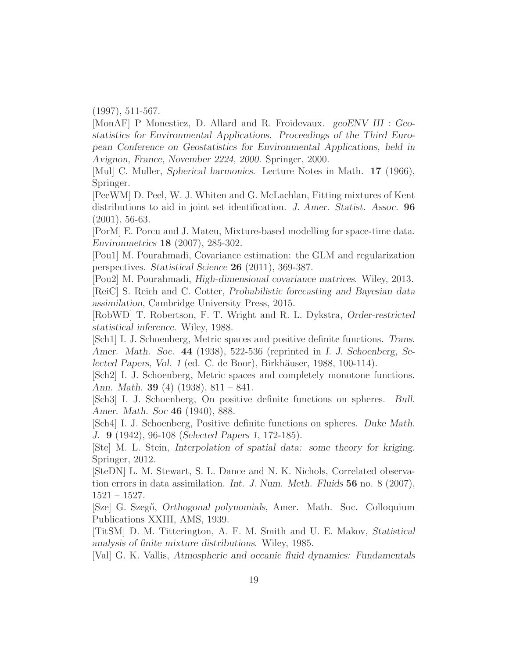(1997), 511-567.

[MonAF] P Monestiez, D. Allard and R. Froidevaux. geoENV III : Geostatistics for Environmental Applications. Proceedings of the Third European Conference on Geostatistics for Environmental Applications, held in Avignon, France, November 2224, 2000. Springer, 2000.

[Mul] C. Muller, Spherical harmonics. Lecture Notes in Math. 17 (1966), Springer.

[PeeWM] D. Peel, W. J. Whiten and G. McLachlan, Fitting mixtures of Kent distributions to aid in joint set identification. J. Amer. Statist. Assoc. **96** (2001), 56-63.

[PorM] E. Porcu and J. Mateu, Mixture-based modelling for space-time data. Environmetrics 18 (2007), 285-302.

[Pou1] M. Pourahmadi, Covariance estimation: the GLM and regularization perspectives. Statistical Science 26 (2011), 369-387.

[Pou2] M. Pourahmadi, High-dimensional covariance matrices. Wiley, 2013. [ReiC] S. Reich and C. Cotter, Probabilistic forecasting and Bayesian data assimilation, Cambridge University Press, 2015.

[RobWD] T. Robertson, F. T. Wright and R. L. Dykstra, Order-restricted statistical inference. Wiley, 1988.

[Sch1] I. J. Schoenberg, Metric spaces and positive definite functions. Trans. Amer. Math. Soc. 44 (1938), 522-536 (reprinted in I. J. Schoenberg, Selected Papers, Vol. 1 (ed. C. de Boor), Birkhäuser, 1988, 100-114).

[Sch2] I. J. Schoenberg, Metric spaces and completely monotone functions. Ann. Math. **39** (4) (1938),  $811 - 841$ .

[Sch3] I. J. Schoenberg, On positive definite functions on spheres. Bull. Amer. Math. Soc 46 (1940), 888.

[Sch4] I. J. Schoenberg, Positive definite functions on spheres. Duke Math. J. 9 (1942), 96-108 (Selected Papers 1, 172-185).

[Ste] M. L. Stein, Interpolation of spatial data: some theory for kriging. Springer, 2012.

[SteDN] L. M. Stewart, S. L. Dance and N. K. Nichols, Correlated observation errors in data assimilation. Int. J. Num. Meth. Fluids  $56$  no. 8 (2007), 1521 – 1527.

[Sze] G. Szegő, *Orthogonal polynomials*, Amer. Math. Soc. Colloquium Publications XXIII, AMS, 1939.

[TitSM] D. M. Titterington, A. F. M. Smith and U. E. Makov, Statistical analysis of finite mixture distributions. Wiley, 1985.

[Val] G. K. Vallis, Atmospheric and oceanic fluid dynamics: Fundamentals